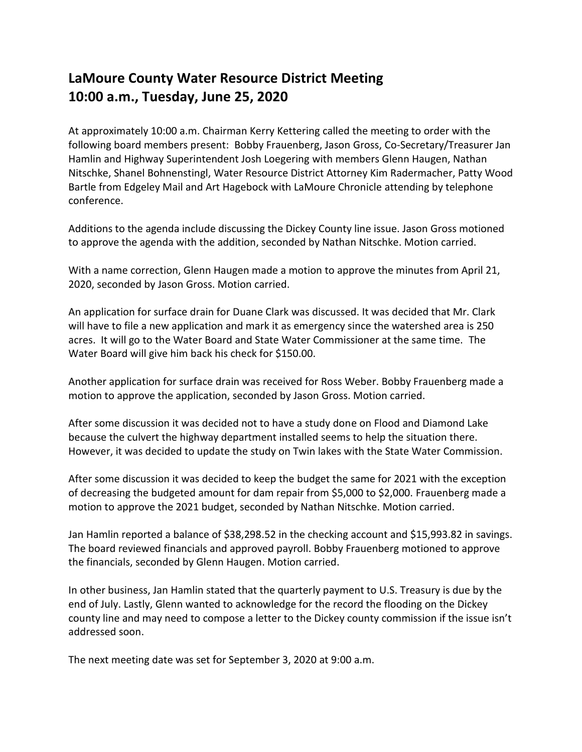## **LaMoure County Water Resource District Meeting 10:00 a.m., Tuesday, June 25, 2020**

At approximately 10:00 a.m. Chairman Kerry Kettering called the meeting to order with the following board members present: Bobby Frauenberg, Jason Gross, Co-Secretary/Treasurer Jan Hamlin and Highway Superintendent Josh Loegering with members Glenn Haugen, Nathan Nitschke, Shanel Bohnenstingl, Water Resource District Attorney Kim Radermacher, Patty Wood Bartle from Edgeley Mail and Art Hagebock with LaMoure Chronicle attending by telephone conference.

Additions to the agenda include discussing the Dickey County line issue. Jason Gross motioned to approve the agenda with the addition, seconded by Nathan Nitschke. Motion carried.

With a name correction, Glenn Haugen made a motion to approve the minutes from April 21, 2020, seconded by Jason Gross. Motion carried.

An application for surface drain for Duane Clark was discussed. It was decided that Mr. Clark will have to file a new application and mark it as emergency since the watershed area is 250 acres. It will go to the Water Board and State Water Commissioner at the same time. The Water Board will give him back his check for \$150.00.

Another application for surface drain was received for Ross Weber. Bobby Frauenberg made a motion to approve the application, seconded by Jason Gross. Motion carried.

After some discussion it was decided not to have a study done on Flood and Diamond Lake because the culvert the highway department installed seems to help the situation there. However, it was decided to update the study on Twin lakes with the State Water Commission.

After some discussion it was decided to keep the budget the same for 2021 with the exception of decreasing the budgeted amount for dam repair from \$5,000 to \$2,000. Frauenberg made a motion to approve the 2021 budget, seconded by Nathan Nitschke. Motion carried.

Jan Hamlin reported a balance of \$38,298.52 in the checking account and \$15,993.82 in savings. The board reviewed financials and approved payroll. Bobby Frauenberg motioned to approve the financials, seconded by Glenn Haugen. Motion carried.

In other business, Jan Hamlin stated that the quarterly payment to U.S. Treasury is due by the end of July. Lastly, Glenn wanted to acknowledge for the record the flooding on the Dickey county line and may need to compose a letter to the Dickey county commission if the issue isn't addressed soon.

The next meeting date was set for September 3, 2020 at 9:00 a.m.